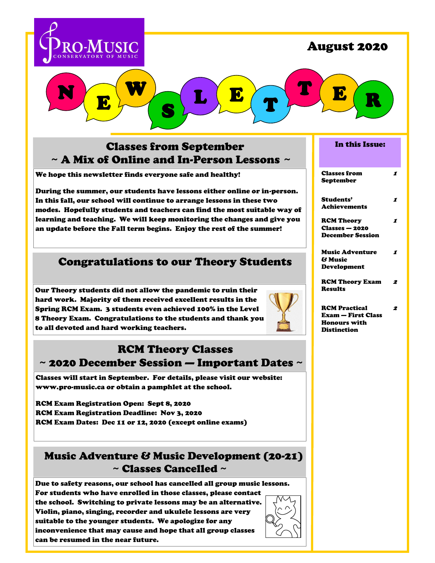

 $\overline{\mathbf{C}}$ 

N

August 2020

 $\frac{1}{\sqrt{2}}$ 

# Classes from September **~** A Mix of Online and In-Person Lessons **~**

S

L E T

We hope this newsletter finds everyone safe and healthy!

W

During the summer, our students have lessons either online or in-person. In this fall, our school will continue to arrange lessons in these two modes. Hopefully students and teachers can find the most suitable way of learning and teaching. We will keep monitoring the changes and give you an update before the Fall term begins. Enjoy the rest of the summer!

## Congratulations to our Theory Students

Our Theory students did not allow the pandemic to ruin their hard work. Majority of them received excellent results in the Spring RCM Exam. 3 students even achieved 100% in the Level 8 Theory Exam. Congratulations to the students and thank you to all devoted and hard working teachers.

## RCM Theory Classes **~** 2020 December Session — Important Dates **~**

Classes will start in September. For details, please visit our website: www.pro-music.ca or obtain a pamphlet at the school.

RCM Exam Registration Open: Sept 8, 2020 RCM Exam Registration Deadline: Nov 3, 2020 RCM Exam Dates: Dec 11 or 12, 2020 (except online exams)

### Music Adventure & Music Development (20-21) **~** Classes Cancelled **~**

Due to safety reasons, our school has cancelled all group music lessons. For students who have enrolled in those classes, please contact the school. Switching to private lessons may be an alternative. Violin, piano, singing, recorder and ukulele lessons are very suitable to the younger students. We apologize for any inconvenience that may cause and hope that all group classes can be resumed in the near future.



#### In this Issue:

| <b>Classes from</b>       | 1 |
|---------------------------|---|
| <b>September</b>          |   |
| <b>Students'</b>          | 1 |
| <b>Achievements</b>       |   |
| <b>RCM Theory</b>         | 1 |
| $\text{Classes} - 2020$   |   |
| <b>December Session</b>   |   |
| <b>Music Adventure</b>    | 1 |
| & Music                   |   |
| <b>Development</b>        |   |
| <b>RCM Theory Exam</b>    | 2 |
| <b>Results</b>            |   |
| <b>RCM Practical</b>      | 2 |
| <b>Exam – First Class</b> |   |
| <b>Honours</b> with       |   |
| Distinction               |   |
|                           |   |